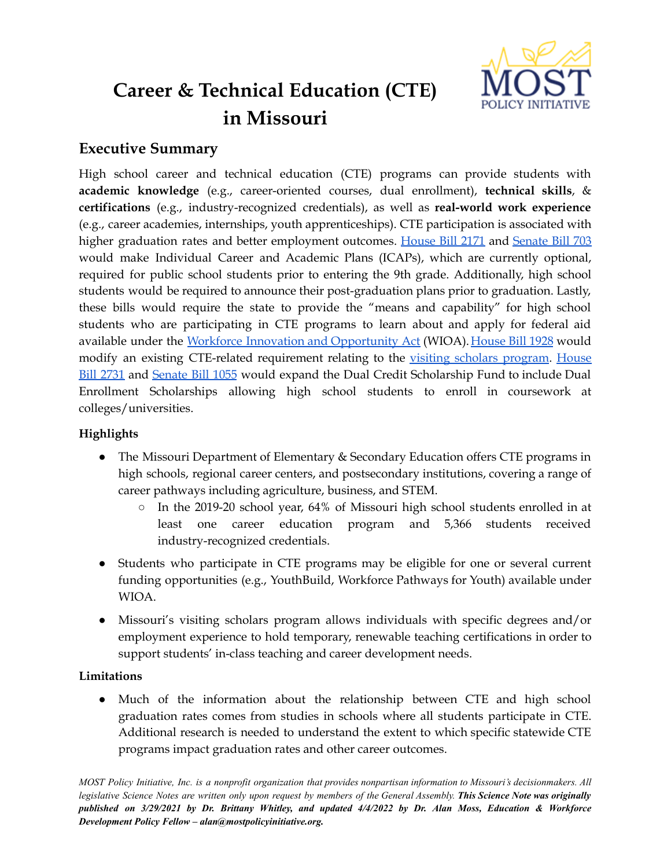

# **Career & Technical Education (CTE) in Missouri**

# **Executive Summary**

High school career and technical education (CTE) programs can provide students with **academic knowledge** (e.g., career-oriented courses, dual enrollment), **technical skills**, & **certifications** (e.g., industry-recognized credentials), as well as **real-world work experience** (e.g., career academies, internships, youth apprenticeships). CTE participation is associated with higher graduation rates and better employment outcomes. [House](https://www.house.mo.gov/Bill.aspx?bill=HB2171&year=2022&code=R) Bill 2171 and [Senate](https://www.senate.mo.gov/22info/BTS_Web/Bill.aspx?SessionType=R&BillID=71259852) Bill 703 would make Individual Career and Academic Plans (ICAPs), which are currently optional, required for public school students prior to entering the 9th grade. Additionally, high school students would be required to announce their post-graduation plans prior to graduation. Lastly, these bills would require the state to provide the "means and capability" for high school students who are participating in CTE programs to learn about and apply for federal aid available under the Workforce Innovation and [Opportunity](https://www.dol.gov/agencies/eta/wioa) Act (WIOA). [House](https://www.house.mo.gov/Bill.aspx?bill=HB1928&year=2022&code=R) Bill 1928 would modify an existing CTE-related requirement relating to the visiting scholars [program](https://dese.mo.gov/educator-quality/certification/visiting-scholar-certificate). [House](https://www.house.mo.gov/Bill.aspx?bill=HB2731&year=2022&code=R) Bill [2731](https://www.house.mo.gov/Bill.aspx?bill=HB2731&year=2022&code=R) and [Senate](https://www.senate.mo.gov/22info/BTS_Web/Bill.aspx?SessionType=R&BillID=73129356) Bill 1055 would expand the Dual Credit Scholarship Fund to include Dual Enrollment Scholarships allowing high school students to enroll in coursework at colleges/universities.

## **Highlights**

- The Missouri Department of Elementary & Secondary Education offers CTE programs in high schools, regional career centers, and postsecondary institutions, covering a range of career pathways including agriculture, business, and STEM.
	- In the 2019-20 school year, 64% of Missouri high school students enrolled in at least one career education program and 5,366 students received industry-recognized credentials.
- Students who participate in CTE programs may be eligible for one or several current funding opportunities (e.g., YouthBuild, Workforce Pathways for Youth) available under WIOA.
- Missouri's visiting scholars program allows individuals with specific degrees and/or employment experience to hold temporary, renewable teaching certifications in order to support students' in-class teaching and career development needs.

## **Limitations**

● Much of the information about the relationship between CTE and high school graduation rates comes from studies in schools where all students participate in CTE. Additional research is needed to understand the extent to which specific statewide CTE programs impact graduation rates and other career outcomes.

MOST Policy Initiative, Inc. is a nonprofit organization that provides nonpartisan information to Missouri's decisionmakers. All legislative Science Notes are written only upon request by members of the General Assembly. This Science Note was originally published on 3/29/2021 by Dr. Brittany Whitley, and updated 4/4/2022 by Dr. Alan Moss, Education & Workforce *Development Policy Fellow – alan@mostpolicyinitiative.org.*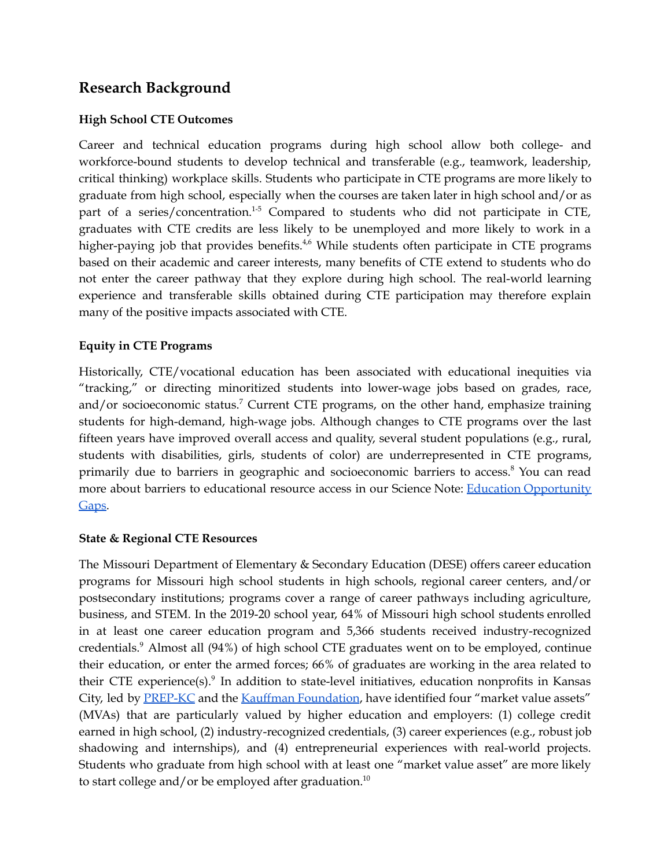# **Research Background**

#### **High School CTE Outcomes**

Career and technical education programs during high school allow both college- and workforce-bound students to develop technical and transferable (e.g., teamwork, leadership, critical thinking) workplace skills. Students who participate in CTE programs are more likely to graduate from high school, especially when the courses are taken later in high school and/or as part of a series/concentration.<sup>1-5</sup> Compared to students who did not participate in CTE, graduates with CTE credits are less likely to be unemployed and more likely to work in a higher-paying job that provides benefits.<sup>4,6</sup> While students often participate in CTE programs based on their academic and career interests, many benefits of CTE extend to students who do not enter the career pathway that they explore during high school. The real-world learning experience and transferable skills obtained during CTE participation may therefore explain many of the positive impacts associated with CTE.

#### **Equity in CTE Programs**

Historically, CTE/vocational education has been associated with educational inequities via "tracking," or directing minoritized students into lower-wage jobs based on grades, race, and/or socioeconomic status.<sup>7</sup> Current CTE programs, on the other hand, emphasize training students for high-demand, high-wage jobs. Although changes to CTE programs over the last fifteen years have improved overall access and quality, several student populations (e.g., rural, students with disabilities, girls, students of color) are underrepresented in CTE programs, primarily due to barriers in geographic and socioeconomic barriers to access. <sup>8</sup> You can read more about barriers to educational resource access in our Science Note: Education [Opportunity](https://mostpolicyinitiative.org/science-note/education-opportunity-gaps/) [Gaps](https://mostpolicyinitiative.org/science-note/education-opportunity-gaps/).

#### **State & Regional CTE Resources**

The Missouri Department of Elementary & Secondary Education (DESE) offers career education programs for Missouri high school students in high schools, regional career centers, and/or postsecondary institutions; programs cover a range of career pathways including agriculture, business, and STEM. In the 2019-20 school year, 64% of Missouri high school students enrolled in at least one career education program and 5,366 students received industry-recognized credentials. <sup>9</sup> Almost all (94%) of high school CTE graduates went on to be employed, continue their education, or enter the armed forces; 66% of graduates are working in the area related to their CTE experience(s).<sup>9</sup> In addition to state-level initiatives, education nonprofits in Kansas City, led by **[PREP-KC](http://www.prepkc.org/)** and the **Kauffman [Foundation](https://www.kauffman.org/real-world-learning/)**, have identified four "market value assets" (MVAs) that are particularly valued by higher education and employers: (1) college credit earned in high school, (2) industry-recognized credentials, (3) career experiences (e.g., robust job shadowing and internships), and (4) entrepreneurial experiences with real-world projects. Students who graduate from high school with at least one "market value asset" are more likely to start college and/or be employed after graduation.<sup>10</sup>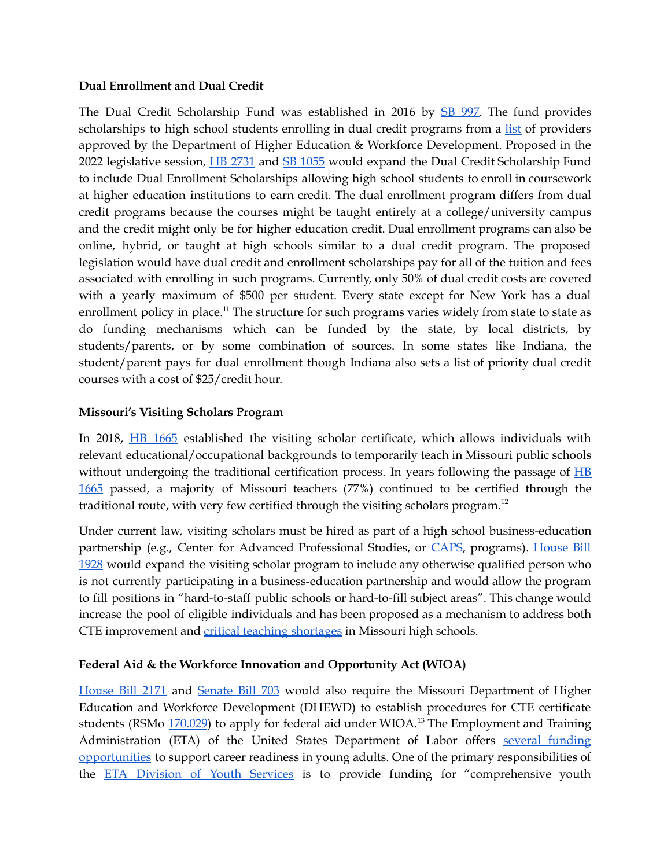#### **Dual Enrollment and Dual Credit**

The Dual Credit Scholarship Fund was established in 2016 by SB [997.](https://www.senate.mo.gov/16info/BTS_Web/Bill.aspx?SessionType=R&BillID=26334489) The fund provides scholarships to high school students enrolling in dual credit programs from a [list](https://dhewd.mo.gov/cota/documents/ApprovedDualCreditProviders042021.pdf) of providers approved by the Department of Higher Education & Workforce Development. Proposed in the 2022 legislative session, HB [2731](https://www.house.mo.gov/Bill.aspx?bill=HB2731&year=2022&code=R) and SB [1055](https://www.senate.mo.gov/22info/BTS_Web/Bill.aspx?SessionType=R&BillID=73129356) would expand the Dual Credit Scholarship Fund to include Dual Enrollment Scholarships allowing high school students to enroll in coursework at higher education institutions to earn credit. The dual enrollment program differs from dual credit programs because the courses might be taught entirely at a college/university campus and the credit might only be for higher education credit. Dual enrollment programs can also be online, hybrid, or taught at high schools similar to a dual credit program. The proposed legislation would have dual credit and enrollment scholarships pay for all of the tuition and fees associated with enrolling in such programs. Currently, only 50% of dual credit costs are covered with a yearly maximum of \$500 per student. Every state except for New York has a dual enrollment policy in place.<sup>11</sup> The structure for such programs varies widely from state to state as do funding mechanisms which can be funded by the state, by local districts, by students/parents, or by some combination of sources. In some states like Indiana, the student/parent pays for dual enrollment though Indiana also sets a list of priority dual credit courses with a cost of \$25/credit hour.

#### **Missouri's Visiting Scholars Program**

In 2018, HB [1665](https://www.house.mo.gov/Bill.aspx?bill=HB1665&year=2018&code=R) established the visiting scholar certificate, which allows individuals with relevant educational/occupational backgrounds to temporarily teach in Missouri public schools without undergoing the traditional certification process. In years following the passage of  $H\bar{B}$ [1665](https://www.house.mo.gov/Bill.aspx?bill=HB1665&year=2018&code=R) passed, a majority of Missouri teachers (77%) continued to be certified through the traditional route, with very few certified through the visiting scholars program.<sup>12</sup>

Under current law, visiting scholars must be hired as part of a high school business-education partnership (e.g., Center for Advanced Professional Studies, or [CAPS](https://yourcapsnetwork.org/national-network/), programs). [House](https://www.house.mo.gov/Bill.aspx?bill=HB1928&year=2022&code=R) Bill [1928](https://www.house.mo.gov/Bill.aspx?bill=HB1928&year=2022&code=R) would expand the visiting scholar program to include any otherwise qualified person who is not currently participating in a business-education partnership and would allow the program to fill positions in "hard-to-staff public schools or hard-to-fill subject areas". This change would increase the pool of eligible individuals and has been proposed as a mechanism to address both CTE improvement and critical teaching [shortages](https://dese.mo.gov/sites/default/files/2020TeacherShortageReport.pdf) in Missouri high schools.

## **Federal Aid & the Workforce Innovation and Opportunity Act (WIOA)**

[House](https://www.house.mo.gov/Bill.aspx?bill=HB2171&year=2022&code=R) Bill 2171 and [Senate](https://www.senate.mo.gov/22info/BTS_Web/Bill.aspx?SessionType=R&BillID=71259852) Bill 703 would also require the Missouri Department of Higher Education and Workforce Development (DHEWD) to establish procedures for CTE certificate students (RSMo [170.029](https://revisor.mo.gov/main/OneSection.aspx?section=170.029)) to apply for federal aid under WIOA.<sup>13</sup> The Employment and Training Administration (ETA) of the United States Department of Labor offers several [funding](https://www.dol.gov/agencies/eta/grants/apply/find-opportunities) [opportunities](https://www.dol.gov/agencies/eta/grants/apply/find-opportunities) to support career readiness in young adults. One of the primary responsibilities of the **ETA** [Division](https://www.dol.gov/agencies/eta/youth/about) of Youth Services is to provide funding for "comprehensive youth